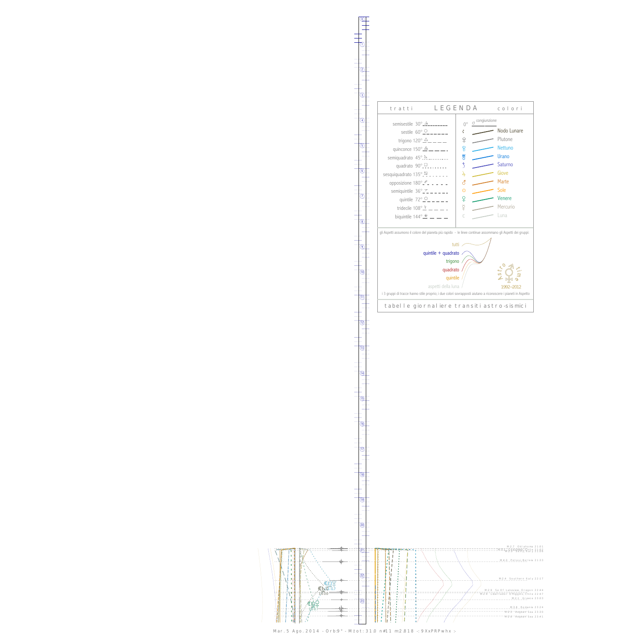0

1



13



Mar. 5 Ago. 2014 - Orb:9° - M.tot: 31.0 n#11 m:2.818 -: 9XxPRPwhx :-